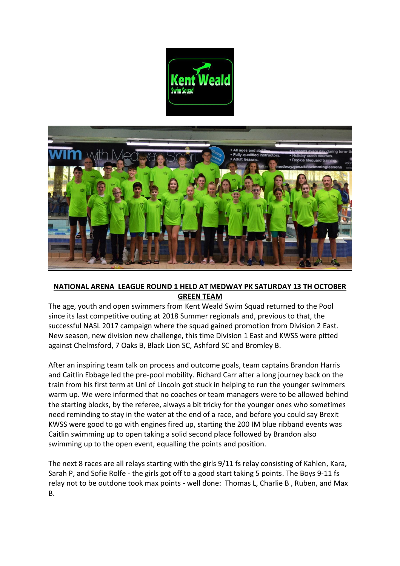



## **NATIONAL ARENA LEAGUE ROUND 1 HELD AT MEDWAY PK SATURDAY 13 TH OCTOBER GREEN TEAM**

The age, youth and open swimmers from Kent Weald Swim Squad returned to the Pool since its last competitive outing at 2018 Summer regionals and, previous to that, the successful NASL 2017 campaign where the squad gained promotion from Division 2 East. New season, new division new challenge, this time Division 1 East and KWSS were pitted against Chelmsford, 7 Oaks B, Black Lion SC, Ashford SC and Bromley B.

After an inspiring team talk on process and outcome goals, team captains Brandon Harris and Caitlin Ebbage led the pre-pool mobility. Richard Carr after a long journey back on the train from his first term at Uni of Lincoln got stuck in helping to run the younger swimmers warm up. We were informed that no coaches or team managers were to be allowed behind the starting blocks, by the referee, always a bit tricky for the younger ones who sometimes need reminding to stay in the water at the end of a race, and before you could say Brexit KWSS were good to go with engines fired up, starting the 200 IM blue ribband events was Caitlin swimming up to open taking a solid second place followed by Brandon also swimming up to the open event, equalling the points and position.

The next 8 races are all relays starting with the girls 9/11 fs relay consisting of Kahlen, Kara, Sarah P, and Sofie Rolfe - the girls got off to a good start taking 5 points. The Boys 9-11 fs relay not to be outdone took max points - well done: Thomas L, Charlie B , Ruben, and Max B.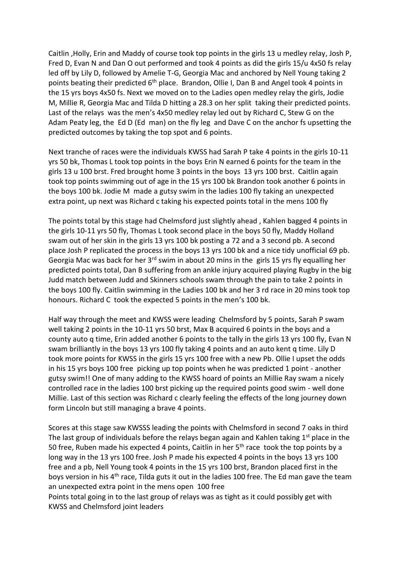Caitlin ,Holly, Erin and Maddy of course took top points in the girls 13 u medley relay, Josh P, Fred D, Evan N and Dan O out performed and took 4 points as did the girls 15/u 4x50 fs relay led off by Lily D, followed by Amelie T-G, Georgia Mac and anchored by Nell Young taking 2 points beating their predicted  $6<sup>th</sup>$  place. Brandon, Ollie I, Dan B and Angel took 4 points in the 15 yrs boys 4x50 fs. Next we moved on to the Ladies open medley relay the girls, Jodie M, Millie R, Georgia Mac and Tilda D hitting a 28.3 on her split taking their predicted points. Last of the relays was the men's 4x50 medley relay led out by Richard C, Stew G on the Adam Peaty leg, the Ed D (Ed man) on the fly leg and Dave C on the anchor fs upsetting the predicted outcomes by taking the top spot and 6 points.

Next tranche of races were the individuals KWSS had Sarah P take 4 points in the girls 10-11 yrs 50 bk, Thomas L took top points in the boys Erin N earned 6 points for the team in the girls 13 u 100 brst. Fred brought home 3 points in the boys 13 yrs 100 brst. Caitlin again took top points swimming out of age in the 15 yrs 100 bk Brandon took another 6 points in the boys 100 bk. Jodie M made a gutsy swim in the ladies 100 fly taking an unexpected extra point, up next was Richard c taking his expected points total in the mens 100 fly

The points total by this stage had Chelmsford just slightly ahead , Kahlen bagged 4 points in the girls 10-11 yrs 50 fly, Thomas L took second place in the boys 50 fly, Maddy Holland swam out of her skin in the girls 13 yrs 100 bk posting a 72 and a 3 second pb. A second place Josh P replicated the process in the boys 13 yrs 100 bk and a nice tidy unofficial 69 pb. Georgia Mac was back for her 3<sup>rd</sup> swim in about 20 mins in the girls 15 yrs fly equalling her predicted points total, Dan B suffering from an ankle injury acquired playing Rugby in the big Judd match between Judd and Skinners schools swam through the pain to take 2 points in the boys 100 fly. Caitlin swimming in the Ladies 100 bk and her 3 rd race in 20 mins took top honours. Richard C took the expected 5 points in the men's 100 bk.

Half way through the meet and KWSS were leading Chelmsford by 5 points, Sarah P swam well taking 2 points in the 10-11 yrs 50 brst, Max B acquired 6 points in the boys and a county auto q time, Erin added another 6 points to the tally in the girls 13 yrs 100 fly, Evan N swam brilliantly in the boys 13 yrs 100 fly taking 4 points and an auto kent q time. Lily D took more points for KWSS in the girls 15 yrs 100 free with a new Pb. Ollie I upset the odds in his 15 yrs boys 100 free picking up top points when he was predicted 1 point - another gutsy swim!! One of many adding to the KWSS hoard of points an Millie Ray swam a nicely controlled race in the ladies 100 brst picking up the required points good swim - well done Millie. Last of this section was Richard c clearly feeling the effects of the long journey down form Lincoln but still managing a brave 4 points.

Scores at this stage saw KWSSS leading the points with Chelmsford in second 7 oaks in third The last group of individuals before the relays began again and Kahlen taking  $1<sup>st</sup>$  place in the 50 free, Ruben made his expected 4 points, Caitlin in her  $5<sup>th</sup>$  race took the top points by a long way in the 13 yrs 100 free. Josh P made his expected 4 points in the boys 13 yrs 100 free and a pb, Nell Young took 4 points in the 15 yrs 100 brst, Brandon placed first in the boys version in his 4<sup>th</sup> race, Tilda guts it out in the ladies 100 free. The Ed man gave the team an unexpected extra point in the mens open 100 free

Points total going in to the last group of relays was as tight as it could possibly get with KWSS and Chelmsford joint leaders